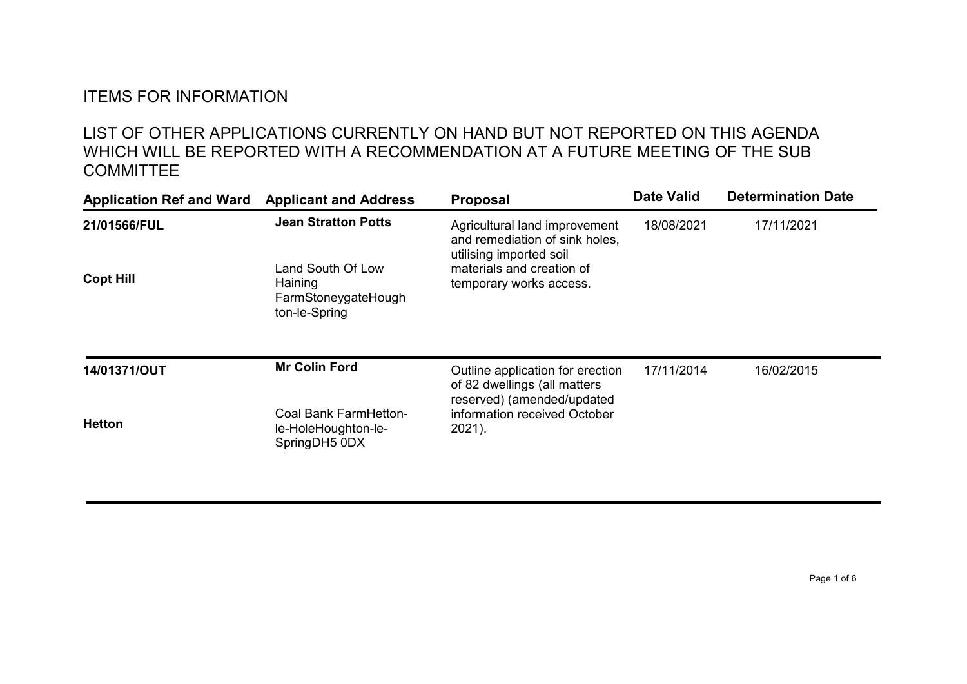## ITEMS FOR INFORMATION

## LIST OF OTHER APPLICATIONS CURRENTLY ON HAND BUT NOT REPORTED ON THIS AGENDA WHICH WILL BE REPORTED WITH A RECOMMENDATION AT A FUTURE MEETING OF THE SUB **COMMITTEE**

| <b>Application Ref and Ward</b> | <b>Applicant and Address</b>                                                                                                 | <b>Proposal</b>                                                                                                                             | <b>Date Valid</b> | <b>Determination Date</b> |
|---------------------------------|------------------------------------------------------------------------------------------------------------------------------|---------------------------------------------------------------------------------------------------------------------------------------------|-------------------|---------------------------|
| 21/01566/FUL                    | <b>Jean Stratton Potts</b>                                                                                                   | Agricultural land improvement<br>and remediation of sink holes,<br>utilising imported soil                                                  | 18/08/2021        | 17/11/2021                |
| <b>Copt Hill</b>                | Land South Of Low<br>materials and creation of<br>Haining<br>temporary works access.<br>FarmStoneygateHough<br>ton-le-Spring |                                                                                                                                             |                   |                           |
| 14/01371/OUT                    | <b>Mr Colin Ford</b>                                                                                                         | Outline application for erection<br>of 82 dwellings (all matters<br>reserved) (amended/updated<br>information received October<br>$2021$ ). | 17/11/2014        | 16/02/2015                |
| <b>Hetton</b>                   | Coal Bank FarmHetton-<br>le-HoleHoughton-le-<br>SpringDH5 0DX                                                                |                                                                                                                                             |                   |                           |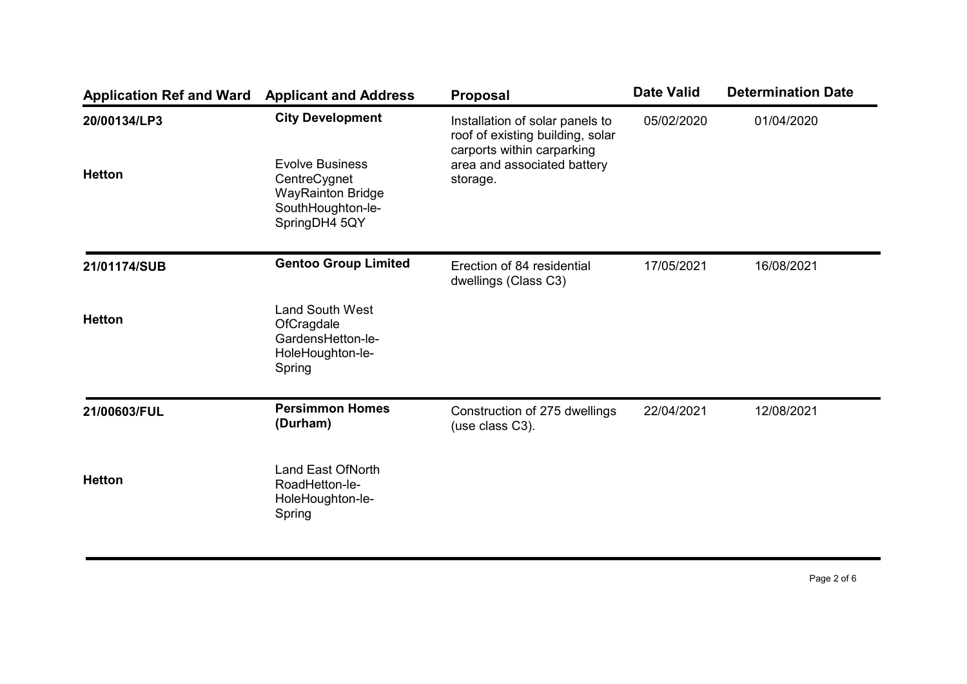| <b>Application Ref and Ward</b> | <b>Applicant and Address</b>                                                                             | <b>Proposal</b>                                                                                   | <b>Date Valid</b> | <b>Determination Date</b> |
|---------------------------------|----------------------------------------------------------------------------------------------------------|---------------------------------------------------------------------------------------------------|-------------------|---------------------------|
| 20/00134/LP3                    | <b>City Development</b>                                                                                  | Installation of solar panels to<br>roof of existing building, solar<br>carports within carparking | 05/02/2020        | 01/04/2020                |
| <b>Hetton</b>                   | <b>Evolve Business</b><br>CentreCygnet<br><b>WayRainton Bridge</b><br>SouthHoughton-le-<br>SpringDH4 5QY | area and associated battery<br>storage.                                                           |                   |                           |
| 21/01174/SUB                    | <b>Gentoo Group Limited</b>                                                                              | Erection of 84 residential<br>dwellings (Class C3)                                                | 17/05/2021        | 16/08/2021                |
| <b>Hetton</b>                   | <b>Land South West</b><br>OfCragdale<br>GardensHetton-le-<br>HoleHoughton-le-<br>Spring                  |                                                                                                   |                   |                           |
| 21/00603/FUL                    | <b>Persimmon Homes</b><br>(Durham)                                                                       | Construction of 275 dwellings<br>(use class C3).                                                  | 22/04/2021        | 12/08/2021                |
| <b>Hetton</b>                   | <b>Land East OfNorth</b><br>RoadHetton-le-<br>HoleHoughton-le-<br>Spring                                 |                                                                                                   |                   |                           |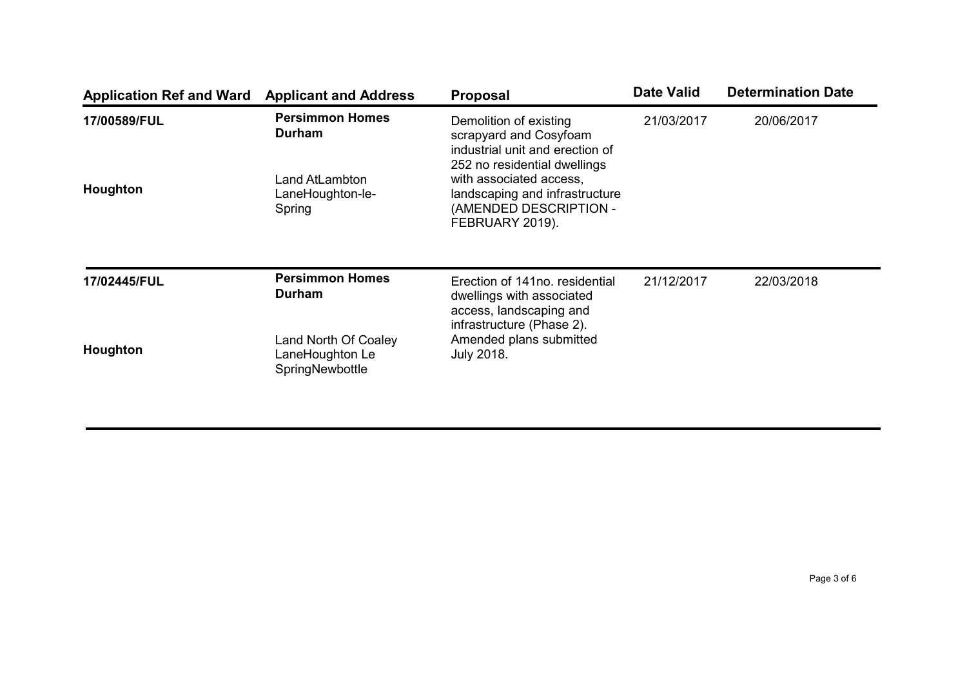| <b>Application Ref and Ward</b> | <b>Applicant and Address</b>                                                                        | <b>Proposal</b>                                                                                                     | <b>Date Valid</b> | <b>Determination Date</b> |
|---------------------------------|-----------------------------------------------------------------------------------------------------|---------------------------------------------------------------------------------------------------------------------|-------------------|---------------------------|
| 17/00589/FUL                    | <b>Persimmon Homes</b><br>Durham                                                                    | Demolition of existing<br>scrapyard and Cosyfoam<br>industrial unit and erection of<br>252 no residential dwellings | 21/03/2017        | 20/06/2017                |
| Houghton                        | Land AtLambton<br>LaneHoughton-le-<br>Spring                                                        | with associated access,<br>landscaping and infrastructure<br>(AMENDED DESCRIPTION -<br>FEBRUARY 2019).              |                   |                           |
| 17/02445/FUL                    | <b>Persimmon Homes</b><br>Durham                                                                    | Erection of 141no. residential<br>dwellings with associated<br>access, landscaping and<br>infrastructure (Phase 2). | 21/12/2017        | 22/03/2018                |
| Houghton                        | Amended plans submitted<br>Land North Of Coaley<br>LaneHoughton Le<br>July 2018.<br>SpringNewbottle |                                                                                                                     |                   |                           |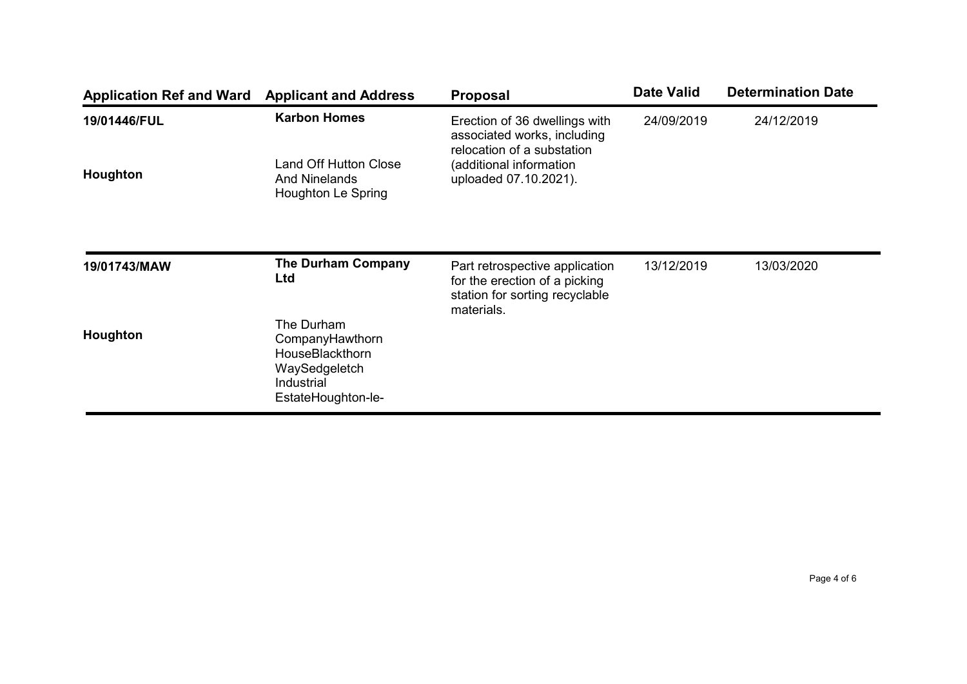| <b>Application Ref and Ward</b> | <b>Applicant and Address</b>                                                                          | <b>Proposal</b>                                                                                   | <b>Date Valid</b> | <b>Determination Date</b> |
|---------------------------------|-------------------------------------------------------------------------------------------------------|---------------------------------------------------------------------------------------------------|-------------------|---------------------------|
| 19/01446/FUL                    | <b>Karbon Homes</b>                                                                                   | Erection of 36 dwellings with<br>associated works, including<br>relocation of a substation        | 24/09/2019        | 24/12/2019                |
| Houghton                        | <b>Land Off Hutton Close</b><br><b>And Ninelands</b><br>Houghton Le Spring                            | (additional information<br>uploaded 07.10.2021).                                                  |                   |                           |
| 19/01743/MAW                    | <b>The Durham Company</b><br>Ltd                                                                      | Part retrospective application<br>for the erection of a picking<br>station for sorting recyclable | 13/12/2019        | 13/03/2020                |
| Houghton                        | The Durham<br>CompanyHawthorn<br>HouseBlackthorn<br>WaySedgeletch<br>Industrial<br>EstateHoughton-le- | materials.                                                                                        |                   |                           |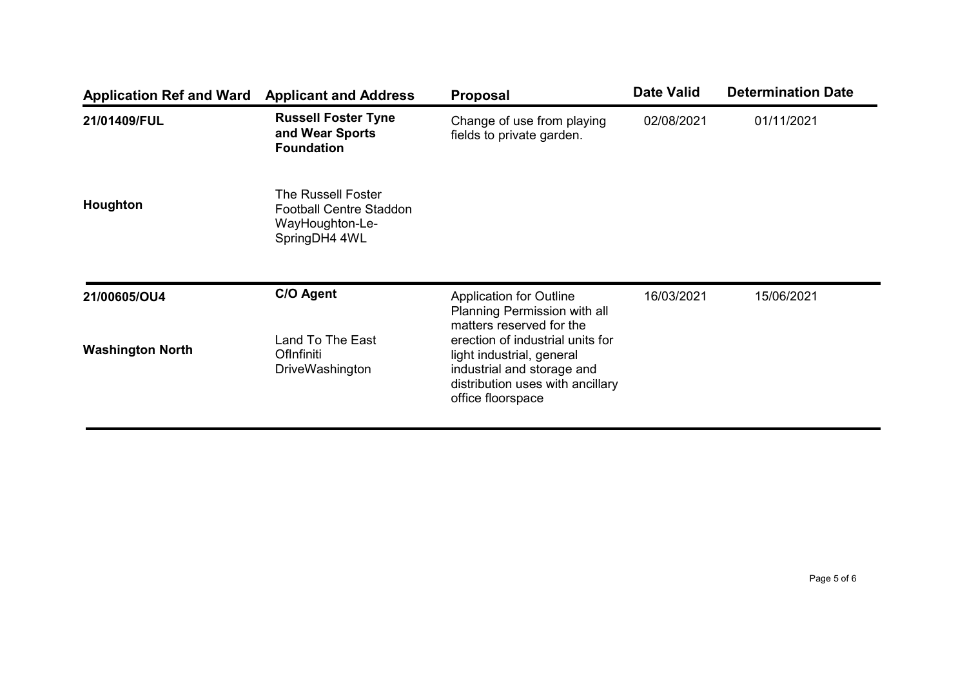| <b>Application Ref and Ward</b>         | <b>Applicant and Address</b>                                                             | <b>Proposal</b>                                                                                                                                                                                                                                    | <b>Date Valid</b> | <b>Determination Date</b> |
|-----------------------------------------|------------------------------------------------------------------------------------------|----------------------------------------------------------------------------------------------------------------------------------------------------------------------------------------------------------------------------------------------------|-------------------|---------------------------|
| 21/01409/FUL                            | <b>Russell Foster Tyne</b><br>and Wear Sports<br><b>Foundation</b>                       | Change of use from playing<br>fields to private garden.                                                                                                                                                                                            | 02/08/2021        | 01/11/2021                |
| Houghton                                | The Russell Foster<br><b>Football Centre Staddon</b><br>WayHoughton-Le-<br>SpringDH4 4WL |                                                                                                                                                                                                                                                    |                   |                           |
| 21/00605/OU4<br><b>Washington North</b> | C/O Agent<br>Land To The East<br>OfInfiniti<br><b>DriveWashington</b>                    | <b>Application for Outline</b><br>Planning Permission with all<br>matters reserved for the<br>erection of industrial units for<br>light industrial, general<br>industrial and storage and<br>distribution uses with ancillary<br>office floorspace | 16/03/2021        | 15/06/2021                |